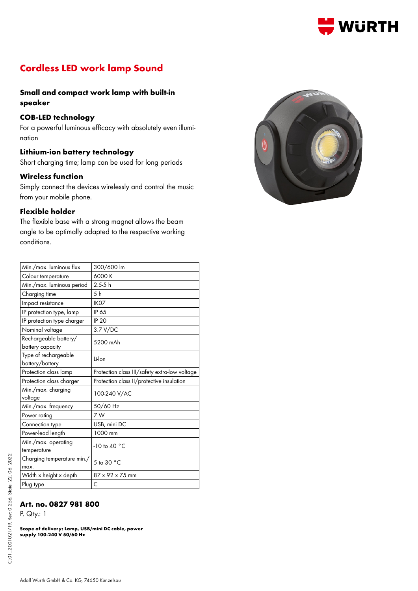

# **Cordless LED work lamp Sound**

### **Small and compact work lamp with built-in speaker**

#### **COB-LED technology**

For a powerful luminous efficacy with absolutely even illumi nation

### **Lithium-ion battery technology**

Short charging time; lamp can be used for long periods

#### **Wireless function**

Simply connect the devices wirelessly and control the music from your mobile phone.

#### **Flexible holder**

The flexible base with a strong magnet allows the beam angle to be optimally adapted to the respective working conditions.

| Min./max. luminous flux                   | 300/600 lm                                    |
|-------------------------------------------|-----------------------------------------------|
| Colour temperature                        | 6000K                                         |
| Min./max. luminous period                 | $2.5 - 5h$                                    |
| Charging time                             | 5 <sub>h</sub>                                |
| Impact resistance                         | IK <sub>07</sub>                              |
| IP protection type, lamp                  | IP 6.5                                        |
| IP protection type charger                | <b>IP 20</b>                                  |
| Nominal voltage                           | 3.7 V/DC                                      |
| Rechargeable battery/<br>battery capacity | 5200 mAh                                      |
| Type of rechargeable<br>battery/battery   | Li-lon                                        |
| Protection class lamp                     | Protection class III/safety extra-low voltage |
| Protection class charger                  | Protection class II/protective insulation     |
| Min./max. charging<br>voltage             | 100-240 V/AC                                  |
| Min./max. frequency                       | 50/60 Hz                                      |
| Power rating                              | 7W                                            |
| Connection type                           | USB, mini DC                                  |
| Power-lead length                         | 1000 mm                                       |
| Min./max. operating<br>temperature        | $-10$ to 40 °C                                |
| Charging temperature min./<br>max.        | 5 to 30 °C                                    |
| Width x height x depth                    | $87 \times 92 \times 75$ mm                   |
| Plug type                                 | C                                             |

## **Art. no. 0827 981 800**

P. Qty.: 1

**Scope of delivery: Lamp, USB/mini DC cable, power supply 100-240 V 50/60 Hz**